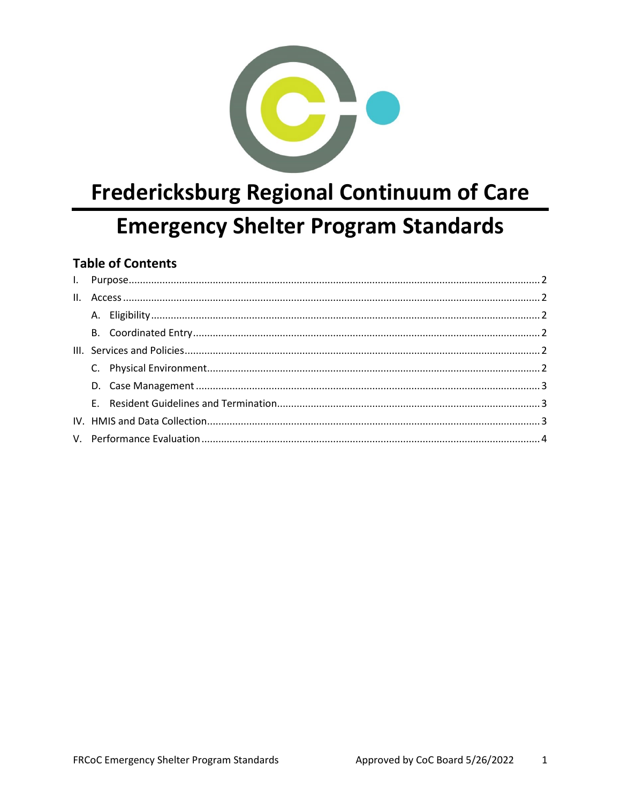

# **Fredericksburg Regional Continuum of Care Emergency Shelter Program Standards**

# **Table of Contents**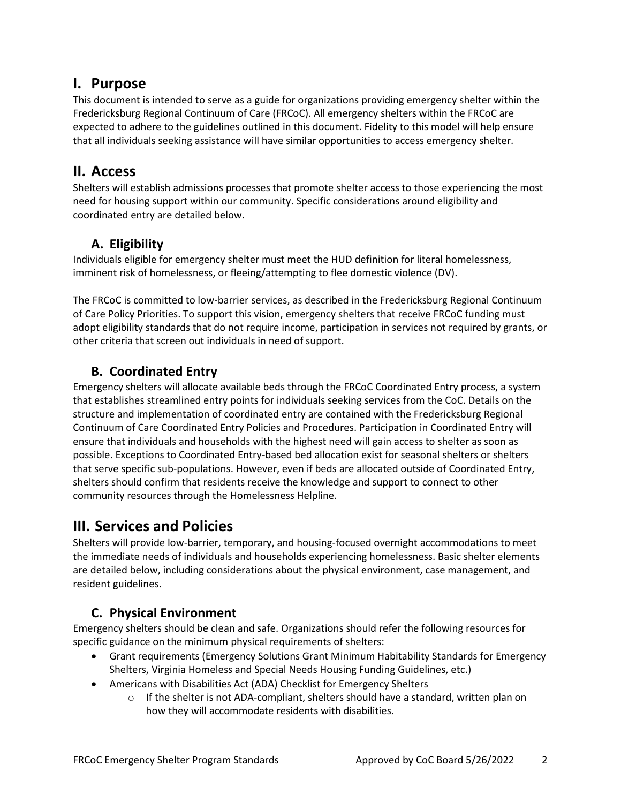## <span id="page-1-0"></span>**I. Purpose**

This document is intended to serve as a guide for organizations providing emergency shelter within the Fredericksburg Regional Continuum of Care (FRCoC). All emergency shelters within the FRCoC are expected to adhere to the guidelines outlined in this document. Fidelity to this model will help ensure that all individuals seeking assistance will have similar opportunities to access emergency shelter.

# <span id="page-1-1"></span>**II. Access**

Shelters will establish admissions processes that promote shelter access to those experiencing the most need for housing support within our community. Specific considerations around eligibility and coordinated entry are detailed below.

## **A. Eligibility**

<span id="page-1-2"></span>Individuals eligible for emergency shelter must meet the HUD definition for literal homelessness, imminent risk of homelessness, or fleeing/attempting to flee domestic violence (DV).

The FRCoC is committed to low-barrier services, as described in the Fredericksburg Regional Continuum of Care Policy Priorities. To support this vision, emergency shelters that receive FRCoC funding must adopt eligibility standards that do not require income, participation in services not required by grants, or other criteria that screen out individuals in need of support.

## **B. Coordinated Entry**

<span id="page-1-3"></span>Emergency shelters will allocate available beds through the FRCoC Coordinated Entry process, a system that establishes streamlined entry points for individuals seeking services from the CoC. Details on the structure and implementation of coordinated entry are contained with the Fredericksburg Regional Continuum of Care Coordinated Entry Policies and Procedures. Participation in Coordinated Entry will ensure that individuals and households with the highest need will gain access to shelter as soon as possible. Exceptions to Coordinated Entry-based bed allocation exist for seasonal shelters or shelters that serve specific sub-populations. However, even if beds are allocated outside of Coordinated Entry, shelters should confirm that residents receive the knowledge and support to connect to other community resources through the Homelessness Helpline.

# <span id="page-1-4"></span>**III. Services and Policies**

Shelters will provide low-barrier, temporary, and housing-focused overnight accommodations to meet the immediate needs of individuals and households experiencing homelessness. Basic shelter elements are detailed below, including considerations about the physical environment, case management, and resident guidelines.

# **C. Physical Environment**

<span id="page-1-5"></span>Emergency shelters should be clean and safe. Organizations should refer the following resources for specific guidance on the minimum physical requirements of shelters:

- Grant requirements (Emergency Solutions Grant Minimum Habitability Standards for Emergency Shelters, Virginia Homeless and Special Needs Housing Funding Guidelines, etc.)
- Americans with Disabilities Act (ADA) Checklist for Emergency Shelters
	- $\circ$  If the shelter is not ADA-compliant, shelters should have a standard, written plan on how they will accommodate residents with disabilities.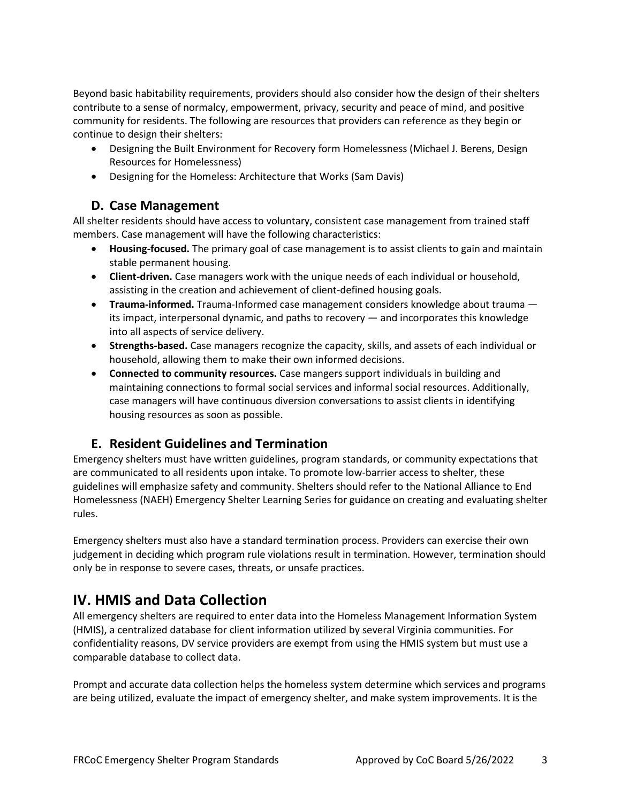Beyond basic habitability requirements, providers should also consider how the design of their shelters contribute to a sense of normalcy, empowerment, privacy, security and peace of mind, and positive community for residents. The following are resources that providers can reference as they begin or continue to design their shelters:

- Designing the Built Environment for Recovery form Homelessness (Michael J. Berens, Design Resources for Homelessness)
- Designing for the Homeless: Architecture that Works (Sam Davis)

#### **D. Case Management**

<span id="page-2-0"></span>All shelter residents should have access to voluntary, consistent case management from trained staff members. Case management will have the following characteristics:

- **Housing-focused.** The primary goal of case management is to assist clients to gain and maintain stable permanent housing.
- **Client-driven.** Case managers work with the unique needs of each individual or household, assisting in the creation and achievement of client-defined housing goals.
- **Trauma-informed.** Trauma-Informed case management considers knowledge about trauma its impact, interpersonal dynamic, and paths to recovery — and incorporates this knowledge into all aspects of service delivery.
- **Strengths-based.** Case managers recognize the capacity, skills, and assets of each individual or household, allowing them to make their own informed decisions.
- **Connected to community resources.** Case mangers support individuals in building and maintaining connections to formal social services and informal social resources. Additionally, case managers will have continuous diversion conversations to assist clients in identifying housing resources as soon as possible.

#### **E. Resident Guidelines and Termination**

<span id="page-2-1"></span>Emergency shelters must have written guidelines, program standards, or community expectations that are communicated to all residents upon intake. To promote low-barrier access to shelter, these guidelines will emphasize safety and community. Shelters should refer to the National Alliance to End Homelessness (NAEH) Emergency Shelter Learning Series for guidance on creating and evaluating shelter rules.

Emergency shelters must also have a standard termination process. Providers can exercise their own judgement in deciding which program rule violations result in termination. However, termination should only be in response to severe cases, threats, or unsafe practices.

# <span id="page-2-2"></span>**IV. HMIS and Data Collection**

All emergency shelters are required to enter data into the Homeless Management Information System (HMIS), a centralized database for client information utilized by several Virginia communities. For confidentiality reasons, DV service providers are exempt from using the HMIS system but must use a comparable database to collect data.

Prompt and accurate data collection helps the homeless system determine which services and programs are being utilized, evaluate the impact of emergency shelter, and make system improvements. It is the